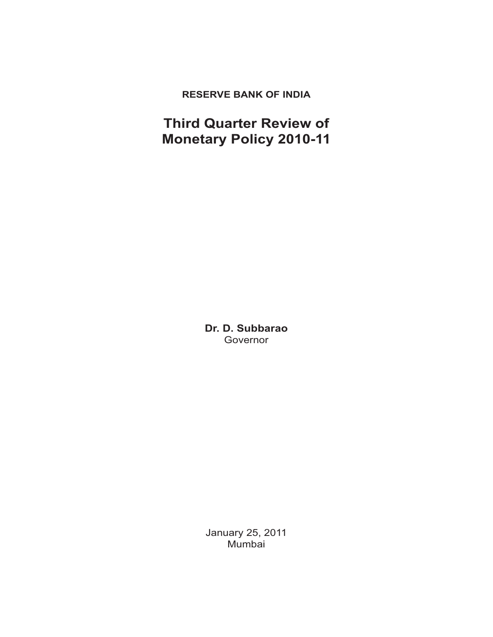# **RESERVE BANK OF INDIA**

# **Third Quarter Review of Monetary Policy 2010-11**

**Dr. D. Subbarao** Governor

January 25, 2011 Mumbai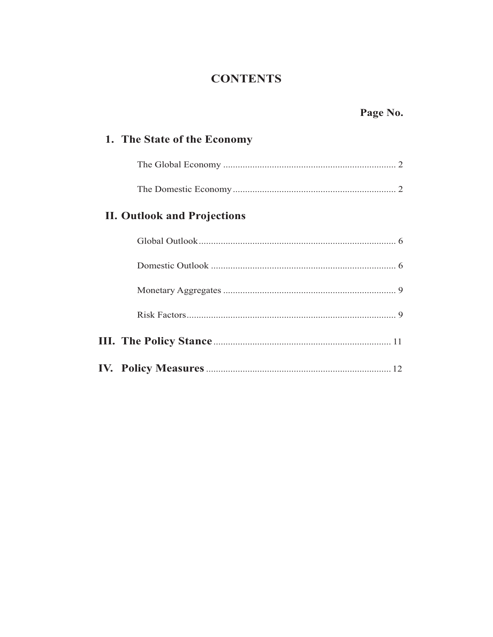# **CONTENTS**

# Page No.

# 1. The State of the Economy

# **II. Outlook and Projections**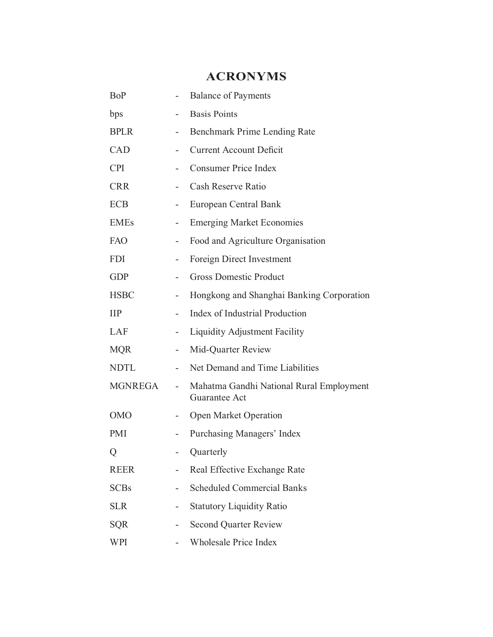# **ACRONYMS**

| <b>BoP</b>  |                              | <b>Balance of Payments</b>                                |
|-------------|------------------------------|-----------------------------------------------------------|
| bps         |                              | <b>Basis Points</b>                                       |
| <b>BPLR</b> | -                            | <b>Benchmark Prime Lending Rate</b>                       |
| CAD         | $\overline{\phantom{0}}$     | <b>Current Account Deficit</b>                            |
| <b>CPI</b>  |                              | <b>Consumer Price Index</b>                               |
| <b>CRR</b>  |                              | Cash Reserve Ratio                                        |
| <b>ECB</b>  | $\overline{\phantom{a}}$     | European Central Bank                                     |
| <b>EMEs</b> | $\overline{\phantom{0}}$     | <b>Emerging Market Economies</b>                          |
| <b>FAO</b>  | $\overline{\phantom{0}}$     | Food and Agriculture Organisation                         |
| <b>FDI</b>  | $\overline{\phantom{0}}$     | Foreign Direct Investment                                 |
| <b>GDP</b>  | $\qquad \qquad \blacksquare$ | <b>Gross Domestic Product</b>                             |
| <b>HSBC</b> | $\overline{\phantom{0}}$     | Hongkong and Shanghai Banking Corporation                 |
| $\prod$     |                              | Index of Industrial Production                            |
| LAF         | -                            | <b>Liquidity Adjustment Facility</b>                      |
| <b>MQR</b>  | -                            | Mid-Quarter Review                                        |
| <b>NDTL</b> |                              | Net Demand and Time Liabilities                           |
| MGNREGA     |                              | Mahatma Gandhi National Rural Employment<br>Guarantee Act |
| <b>OMO</b>  |                              | <b>Open Market Operation</b>                              |
| <b>PMI</b>  |                              | Purchasing Managers' Index                                |
| Q           |                              | Quarterly                                                 |
| <b>REER</b> |                              | Real Effective Exchange Rate                              |
| <b>SCBs</b> |                              | <b>Scheduled Commercial Banks</b>                         |
| <b>SLR</b>  |                              | <b>Statutory Liquidity Ratio</b>                          |
| <b>SQR</b>  |                              | <b>Second Quarter Review</b>                              |
| WPI         |                              | <b>Wholesale Price Index</b>                              |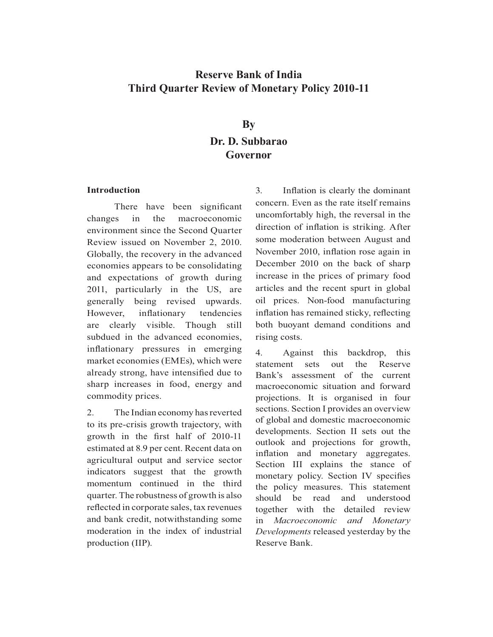# **Reserve Bank of India Third Quarter Review of Monetary Policy 2010-11**

# **By Dr. D. Subbarao Governor**

### **Introduction**

There have been significant changes in the macroeconomic environment since the Second Quarter Review issued on November 2, 2010. Globally, the recovery in the advanced economies appears to be consolidating and expectations of growth during 2011, particularly in the US, are generally being revised upwards. However, inflationary tendencies are clearly visible. Though still subdued in the advanced economies, inflationary pressures in emerging market economies (EMEs), which were already strong, have intensified due to sharp increases in food, energy and commodity prices.

2. The Indian economy has reverted to its pre-crisis growth trajectory, with growth in the first half of 2010-11 estimated at 8.9 per cent. Recent data on agricultural output and service sector indicators suggest that the growth momentum continued in the third quarter. The robustness of growth is also reflected in corporate sales, tax revenues and bank credit, notwithstanding some moderation in the index of industrial production (IIP).

3. Inflation is clearly the dominant concern. Even as the rate itself remains uncomfortably high, the reversal in the direction of inflation is striking. After some moderation between August and November 2010, inflation rose again in December 2010 on the back of sharp increase in the prices of primary food articles and the recent spurt in global oil prices. Non-food manufacturing inflation has remained sticky, reflecting both buoyant demand conditions and rising costs.

4. Against this backdrop, this statement sets out the Reserve Bank's assessment of the current macroeconomic situation and forward projections. It is organised in four sections. Section I provides an overview of global and domestic macroeconomic developments. Section II sets out the outlook and projections for growth, inflation and monetary aggregates. Section III explains the stance of monetary policy. Section IV specifies the policy measures. This statement should be read and understood together with the detailed review in *Macroeconomic and Monetary Developments* released yesterday by the Reserve Bank.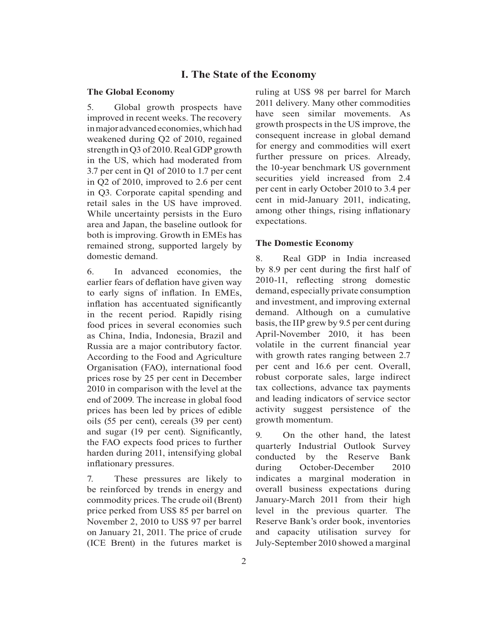### **I. The State of the Economy**

#### **The Global Economy**

5. Global growth prospects have improved in recent weeks. The recovery in major advanced economies, which had weakened during Q2 of 2010, regained strength in Q3 of 2010. Real GDP growth in the US, which had moderated from 3.7 per cent in Q1 of 2010 to 1.7 per cent in Q2 of 2010, improved to 2.6 per cent in Q3. Corporate capital spending and retail sales in the US have improved. While uncertainty persists in the Euro area and Japan, the baseline outlook for both is improving. Growth in EMEs has remained strong, supported largely by domestic demand.

6. In advanced economies, the earlier fears of deflation have given way to early signs of inflation. In EMEs, inflation has accentuated significantly in the recent period. Rapidly rising food prices in several economies such as China, India, Indonesia, Brazil and Russia are a major contributory factor. According to the Food and Agriculture Organisation (FAO), international food prices rose by 25 per cent in December 2010 in comparison with the level at the end of 2009. The increase in global food prices has been led by prices of edible oils (55 per cent), cereals (39 per cent) and sugar (19 per cent). Significantly, the FAO expects food prices to further harden during 2011, intensifying global inflationary pressures.

7. These pressures are likely to be reinforced by trends in energy and commodity prices. The crude oil (Brent) price perked from US\$ 85 per barrel on November 2, 2010 to US\$ 97 per barrel on January 21, 2011. The price of crude (ICE Brent) in the futures market is ruling at US\$ 98 per barrel for March 2011 delivery. Many other commodities have seen similar movements. As growth prospects in the US improve, the consequent increase in global demand for energy and commodities will exert further pressure on prices. Already, the 10-year benchmark US government securities yield increased from 2.4 per cent in early October 2010 to 3.4 per cent in mid-January 2011, indicating, among other things, rising inflationary expectations.

### **The Domestic Economy**

8. Real GDP in India increased by 8.9 per cent during the first half of 2010-11, reflecting strong domestic demand, especially private consumption and investment, and improving external demand. Although on a cumulative basis, the IIP grew by 9.5 per cent during April-November 2010, it has been volatile in the current financial year with growth rates ranging between 2.7 per cent and 16.6 per cent. Overall, robust corporate sales, large indirect tax collections, advance tax payments and leading indicators of service sector activity suggest persistence of the growth momentum.

9. On the other hand, the latest quarterly Industrial Outlook Survey conducted by the Reserve Bank during October-December 2010 indicates a marginal moderation in overall business expectations during January-March 2011 from their high level in the previous quarter. The Reserve Bank's order book, inventories and capacity utilisation survey for July-September 2010 showed a marginal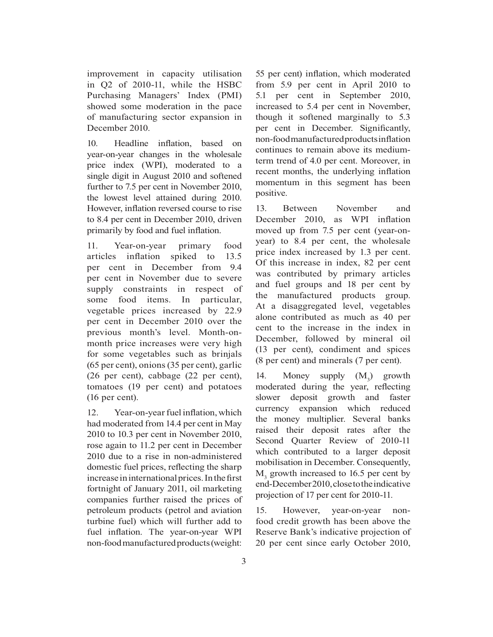improvement in capacity utilisation in Q2 of 2010-11, while the HSBC Purchasing Managers' Index (PMI) showed some moderation in the pace of manufacturing sector expansion in December 2010.

10. Headline inflation, based on year-on-year changes in the wholesale price index (WPI), moderated to a single digit in August 2010 and softened further to 7.5 per cent in November 2010, the lowest level attained during 2010. However, inflation reversed course to rise to 8.4 per cent in December 2010, driven primarily by food and fuel inflation.

11. Year-on-year primary food articles inflation spiked to 13.5 per cent in December from 9.4 per cent in November due to severe supply constraints in respect of some food items. In particular, vegetable prices increased by 22.9 per cent in December 2010 over the previous month's level. Month-onmonth price increases were very high for some vegetables such as brinjals (65 per cent), onions (35 per cent), garlic (26 per cent), cabbage (22 per cent), tomatoes (19 per cent) and potatoes (16 per cent).

12. Year-on-year fuel inflation, which had moderated from 14.4 per cent in May 2010 to 10.3 per cent in November 2010, rose again to 11.2 per cent in December 2010 due to a rise in non-administered domestic fuel prices, reflecting the sharp increase in international prices. In the first fortnight of January 2011, oil marketing companies further raised the prices of petroleum products (petrol and aviation turbine fuel) which will further add to fuel inflation. The year-on-year WPI non-food manufactured products (weight:

55 per cent) inflation, which moderated from 5.9 per cent in April 2010 to 5.1 per cent in September 2010, increased to 5.4 per cent in November, though it softened marginally to 5.3 per cent in December. Significantly, non-food manufactured products inflation continues to remain above its mediumterm trend of 4.0 per cent. Moreover, in recent months, the underlying inflation momentum in this segment has been positive.

13. Between November and December 2010, as WPI inflation moved up from 7.5 per cent (year-onyear) to 8.4 per cent, the wholesale price index increased by 1.3 per cent. Of this increase in index, 82 per cent was contributed by primary articles and fuel groups and 18 per cent by the manufactured products group. At a disaggregated level, vegetables alone contributed as much as 40 per cent to the increase in the index in December, followed by mineral oil (13 per cent), condiment and spices (8 per cent) and minerals (7 per cent).

14. Money supply  $(M_3)$  growth moderated during the year, reflecting slower deposit growth and faster currency expansion which reduced the money multiplier. Several banks raised their deposit rates after the Second Quarter Review of 2010-11 which contributed to a larger deposit mobilisation in December. Consequently, M<sub>3</sub> growth increased to 16.5 per cent by end-December 2010, close to the indicative projection of 17 per cent for 2010-11.

15. However, year-on-year nonfood credit growth has been above the Reserve Bank's indicative projection of 20 per cent since early October 2010,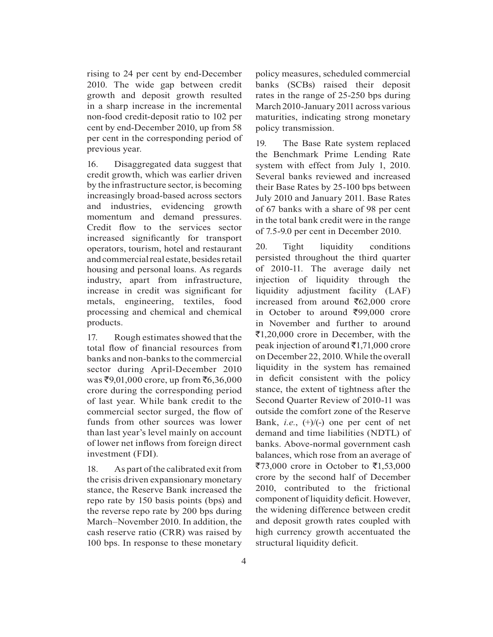rising to 24 per cent by end-December 2010. The wide gap between credit growth and deposit growth resulted in a sharp increase in the incremental non-food credit-deposit ratio to 102 per cent by end-December 2010, up from 58 per cent in the corresponding period of previous year.

16. Disaggregated data suggest that credit growth, which was earlier driven by the infrastructure sector, is becoming increasingly broad-based across sectors and industries, evidencing growth momentum and demand pressures. Credit flow to the services sector increased significantly for transport operators, tourism, hotel and restaurant and commercial real estate, besides retail housing and personal loans. As regards industry, apart from infrastructure, increase in credit was significant for metals, engineering, textiles, food processing and chemical and chemical products.

17. Rough estimates showed that the total flow of financial resources from banks and non-banks to the commercial sector during April-December 2010  $was$  ₹9,01,000 crore, up from ₹6,36,000 crore during the corresponding period of last year. While bank credit to the commercial sector surged, the flow of funds from other sources was lower than last year's level mainly on account of lower net inflows from foreign direct investment (FDI).

18. As part of the calibrated exit from the crisis driven expansionary monetary stance, the Reserve Bank increased the repo rate by 150 basis points (bps) and the reverse repo rate by 200 bps during March–November 2010. In addition, the cash reserve ratio (CRR) was raised by 100 bps. In response to these monetary

policy measures, scheduled commercial banks (SCBs) raised their deposit rates in the range of 25-250 bps during March 2010-January 2011 across various maturities, indicating strong monetary policy transmission.

19. The Base Rate system replaced the Benchmark Prime Lending Rate system with effect from July 1, 2010. Several banks reviewed and increased their Base Rates by 25-100 bps between July 2010 and January 2011. Base Rates of 67 banks with a share of 98 per cent in the total bank credit were in the range of 7.5-9.0 per cent in December 2010.

20. Tight liquidity conditions persisted throughout the third quarter of 2010-11. The average daily net injection of liquidity through the liquidity adjustment facility (LAF) increased from around  $\overline{6}62,000$  crore in October to around  $\overline{599,000}$  crore in November and further to around  $\bar{\mathcal{F}}$ 1,20,000 crore in December, with the peak injection of around  $\bar{\tau}$ 1,71,000 crore on December 22, 2010. While the overall liquidity in the system has remained in deficit consistent with the policy stance, the extent of tightness after the Second Quarter Review of 2010-11 was outside the comfort zone of the Reserve Bank, *i.e.*, (+)/(-) one per cent of net demand and time liabilities (NDTL) of banks. Above-normal government cash balances, which rose from an average of  $\overline{$}73,000$  crore in October to  $\overline{$}1,53,000$ crore by the second half of December 2010, contributed to the frictional component of liquidity deficit. However, the widening difference between credit and deposit growth rates coupled with high currency growth accentuated the structural liquidity deficit.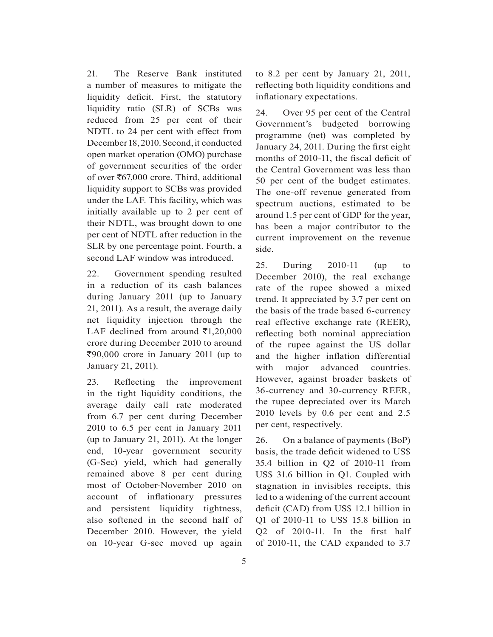21. The Reserve Bank instituted a number of measures to mitigate the liquidity deficit. First, the statutory liquidity ratio (SLR) of SCBs was reduced from 25 per cent of their NDTL to 24 per cent with effect from December 18, 2010. Second, it conducted open market operation (OMO) purchase of government securities of the order of over  $\text{\textsterling}67,000$  crore. Third, additional liquidity support to SCBs was provided under the LAF. This facility, which was initially available up to 2 per cent of their NDTL, was brought down to one per cent of NDTL after reduction in the SLR by one percentage point. Fourth, a second LAF window was introduced.

22. Government spending resulted in a reduction of its cash balances during January 2011 (up to January 21, 2011). As a result, the average daily net liquidity injection through the LAF declined from around  $\bar{\mathfrak{e}}1,20,000$ crore during December 2010 to around  $\overline{\xi}90,000$  crore in January 2011 (up to January 21, 2011).

23. Reflecting the improvement in the tight liquidity conditions, the average daily call rate moderated from 6.7 per cent during December 2010 to 6.5 per cent in January 2011 (up to January 21, 2011). At the longer end, 10-year government security (G-Sec) yield, which had generally remained above 8 per cent during most of October-November 2010 on account of inflationary pressures and persistent liquidity tightness, also softened in the second half of December 2010. However, the yield on 10-year G-sec moved up again to 8.2 per cent by January 21, 2011, reflecting both liquidity conditions and inflationary expectations.

24. Over 95 per cent of the Central Government's budgeted borrowing programme (net) was completed by January 24, 2011. During the first eight months of 2010-11, the fiscal deficit of the Central Government was less than 50 per cent of the budget estimates. The one-off revenue generated from spectrum auctions, estimated to be around 1.5 per cent of GDP for the year, has been a major contributor to the current improvement on the revenue side.

25. During 2010-11 (up to December 2010), the real exchange rate of the rupee showed a mixed trend. It appreciated by 3.7 per cent on the basis of the trade based 6-currency real effective exchange rate (REER), reflecting both nominal appreciation of the rupee against the US dollar and the higher inflation differential with major advanced countries. However, against broader baskets of 36-currency and 30-currency REER, the rupee depreciated over its March 2010 levels by 0.6 per cent and 2.5 per cent, respectively.

26. On a balance of payments (BoP) basis, the trade deficit widened to US\$ 35.4 billion in Q2 of 2010-11 from US\$ 31.6 billion in Q1. Coupled with stagnation in invisibles receipts, this led to a widening of the current account deficit (CAD) from US\$ 12.1 billion in Q1 of 2010-11 to US\$ 15.8 billion in Q2 of  $2010-11$ . In the first half of 2010-11, the CAD expanded to 3.7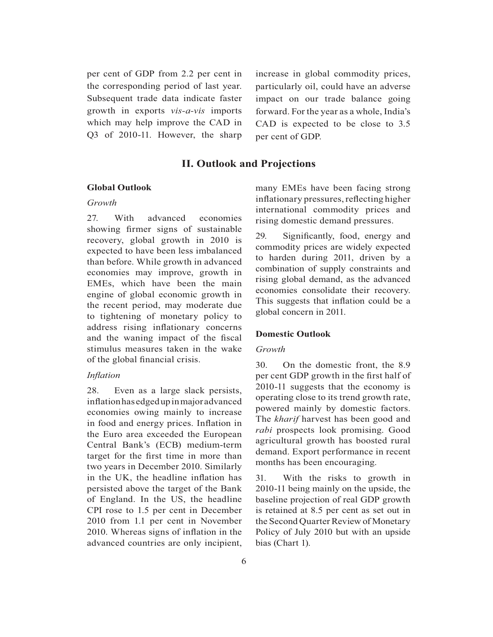per cent of GDP from 2.2 per cent in the corresponding period of last year. Subsequent trade data indicate faster growth in exports *vis-a-vis* imports which may help improve the CAD in Q3 of 2010-11. However, the sharp

increase in global commodity prices, particularly oil, could have an adverse impact on our trade balance going forward. For the year as a whole, India's CAD is expected to be close to 3.5 per cent of GDP.

# **II. Outlook and Projections**

#### **Global Outlook**

#### *Growth*

27. With advanced economies showing firmer signs of sustainable recovery, global growth in 2010 is expected to have been less imbalanced than before. While growth in advanced economies may improve, growth in EMEs, which have been the main engine of global economic growth in the recent period, may moderate due to tightening of monetary policy to address rising inflationary concerns and the waning impact of the fiscal stimulus measures taken in the wake of the global financial crisis.

#### *Inflation*

28. Even as a large slack persists, inflation has edged up in major advanced economies owing mainly to increase in food and energy prices. Inflation in the Euro area exceeded the European Central Bank's (ECB) medium-term target for the first time in more than two years in December 2010. Similarly in the UK, the headline inflation has persisted above the target of the Bank of England. In the US, the headline CPI rose to 1.5 per cent in December 2010 from 1.1 per cent in November 2010. Whereas signs of inflation in the advanced countries are only incipient, many EMEs have been facing strong inflationary pressures, reflecting higher international commodity prices and rising domestic demand pressures.

29. Significantly, food, energy and commodity prices are widely expected to harden during 2011, driven by a combination of supply constraints and rising global demand, as the advanced economies consolidate their recovery. This suggests that inflation could be a global concern in 2011.

#### **Domestic Outlook**

## *Growth*

30. On the domestic front, the 8.9 per cent GDP growth in the first half of 2010-11 suggests that the economy is operating close to its trend growth rate, powered mainly by domestic factors. The *kharif* harvest has been good and *rabi* prospects look promising. Good agricultural growth has boosted rural demand. Export performance in recent months has been encouraging.

31. With the risks to growth in 2010-11 being mainly on the upside, the baseline projection of real GDP growth is retained at 8.5 per cent as set out in the Second Quarter Review of Monetary Policy of July 2010 but with an upside bias (Chart 1).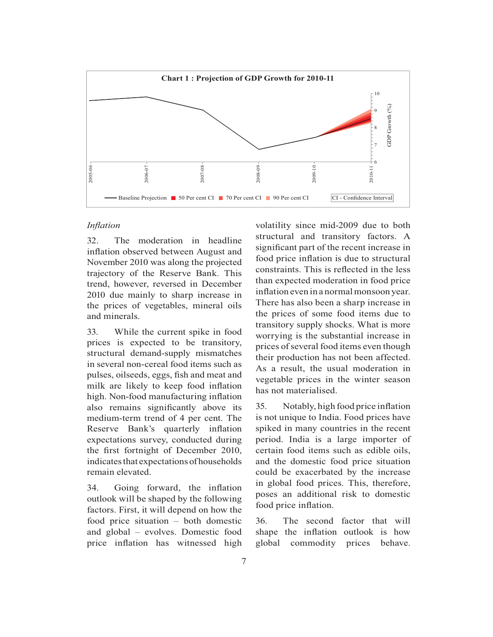

# *Inflation*

32. The moderation in headline inflation observed between August and November 2010 was along the projected trajectory of the Reserve Bank. This trend, however, reversed in December 2010 due mainly to sharp increase in the prices of vegetables, mineral oils and minerals.

33. While the current spike in food prices is expected to be transitory, structural demand-supply mismatches in several non-cereal food items such as pulses, oilseeds, eggs, fish and meat and milk are likely to keep food inflation high. Non-food manufacturing inflation also remains significantly above its medium-term trend of 4 per cent. The Reserve Bank's quarterly inflation expectations survey, conducted during the first fortnight of December 2010, indicates that expectations of households remain elevated.

34. Going forward, the inflation outlook will be shaped by the following factors. First, it will depend on how the food price situation – both domestic and global – evolves. Domestic food price inflation has witnessed high volatility since mid-2009 due to both structural and transitory factors. A significant part of the recent increase in food price inflation is due to structural constraints. This is reflected in the less than expected moderation in food price inflation even in a normal monsoon year. There has also been a sharp increase in the prices of some food items due to transitory supply shocks. What is more worrying is the substantial increase in prices of several food items even though their production has not been affected. As a result, the usual moderation in vegetable prices in the winter season has not materialised.

35. Notably, high food price inflation is not unique to India. Food prices have spiked in many countries in the recent period. India is a large importer of certain food items such as edible oils, and the domestic food price situation could be exacerbated by the increase in global food prices. This, therefore, poses an additional risk to domestic food price inflation.

36. The second factor that will shape the inflation outlook is how global commodity prices behave.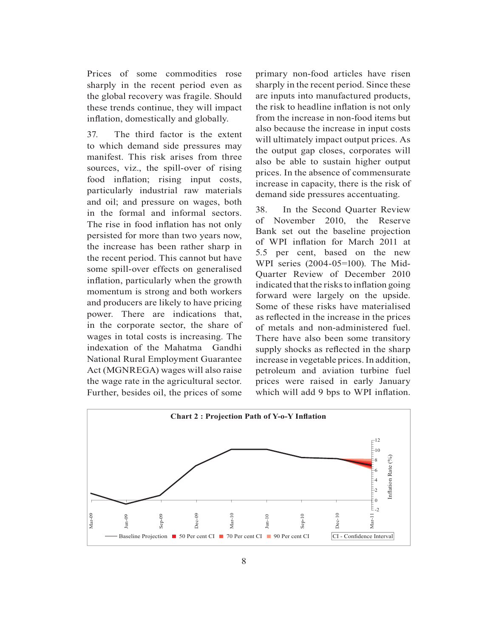Prices of some commodities rose sharply in the recent period even as the global recovery was fragile. Should these trends continue, they will impact inflation, domestically and globally.

37. The third factor is the extent to which demand side pressures may manifest. This risk arises from three sources, viz., the spill-over of rising food inflation; rising input costs, particularly industrial raw materials and oil; and pressure on wages, both in the formal and informal sectors. The rise in food inflation has not only persisted for more than two years now, the increase has been rather sharp in the recent period. This cannot but have some spill-over effects on generalised inflation, particularly when the growth momentum is strong and both workers and producers are likely to have pricing power. There are indications that, in the corporate sector, the share of wages in total costs is increasing. The indexation of the Mahatma Gandhi National Rural Employment Guarantee Act (MGNREGA) wages will also raise the wage rate in the agricultural sector. Further, besides oil, the prices of some

primary non-food articles have risen sharply in the recent period. Since these are inputs into manufactured products, the risk to headline inflation is not only from the increase in non-food items but also because the increase in input costs will ultimately impact output prices. As the output gap closes, corporates will also be able to sustain higher output prices. In the absence of commensurate increase in capacity, there is the risk of demand side pressures accentuating.

38. In the Second Quarter Review of November 2010, the Reserve Bank set out the baseline projection of WPI inflation for March 2011 at 5.5 per cent, based on the new WPI series (2004-05=100). The Mid-Quarter Review of December 2010 indicated that the risks to inflation going forward were largely on the upside. Some of these risks have materialised as reflected in the increase in the prices of metals and non-administered fuel. There have also been some transitory supply shocks as reflected in the sharp increase in vegetable prices. In addition, petroleum and aviation turbine fuel prices were raised in early January which will add 9 bps to WPI inflation.

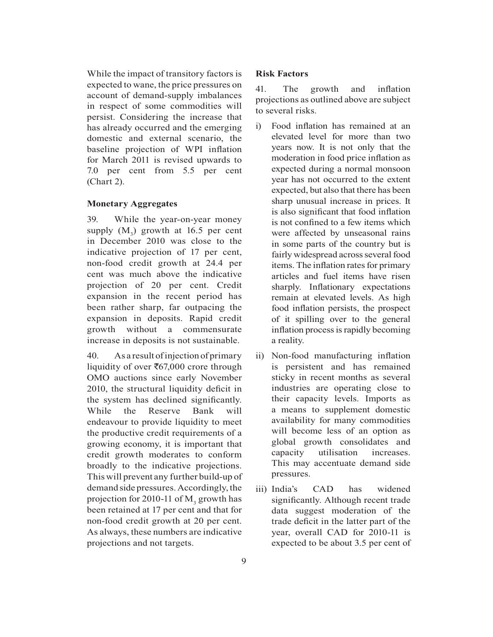While the impact of transitory factors is expected to wane, the price pressures on account of demand-supply imbalances in respect of some commodities will persist. Considering the increase that has already occurred and the emerging domestic and external scenario, the baseline projection of WPI inflation for March 2011 is revised upwards to 7.0 per cent from 5.5 per cent (Chart 2).

### **Monetary Aggregates**

39. While the year-on-year money supply  $(M_3)$  growth at 16.5 per cent in December 2010 was close to the indicative projection of 17 per cent, non-food credit growth at 24.4 per cent was much above the indicative projection of 20 per cent. Credit expansion in the recent period has been rather sharp, far outpacing the expansion in deposits. Rapid credit growth without a commensurate increase in deposits is not sustainable.

40. As a result of injection of primary liquidity of over  $\bar{c}67,000$  crore through OMO auctions since early November 2010, the structural liquidity deficit in the system has declined significantly. While the Reserve Bank will endeavour to provide liquidity to meet the productive credit requirements of a growing economy, it is important that credit growth moderates to conform broadly to the indicative projections. This will prevent any further build-up of demand side pressures. Accordingly, the projection for 2010-11 of  $M_3$  growth has been retained at 17 per cent and that for non-food credit growth at 20 per cent. As always, these numbers are indicative projections and not targets.

### **Risk Factors**

41. The growth and inflation projections as outlined above are subject to several risks.

- i) Food inflation has remained at an elevated level for more than two years now. It is not only that the moderation in food price inflation as expected during a normal monsoon year has not occurred to the extent expected, but also that there has been sharp unusual increase in prices. It is also significant that food inflation is not confined to a few items which were affected by unseasonal rains in some parts of the country but is fairly widespread across several food items. The inflation rates for primary articles and fuel items have risen sharply. Inflationary expectations remain at elevated levels. As high food inflation persists, the prospect of it spilling over to the general inflation process is rapidly becoming a reality.
- ii) Non-food manufacturing inflation is persistent and has remained sticky in recent months as several industries are operating close to their capacity levels. Imports as a means to supplement domestic availability for many commodities will become less of an option as global growth consolidates and capacity utilisation increases. This may accentuate demand side pressures.
- iii) India's CAD has widened significantly. Although recent trade data suggest moderation of the trade deficit in the latter part of the year, overall CAD for 2010-11 is expected to be about 3.5 per cent of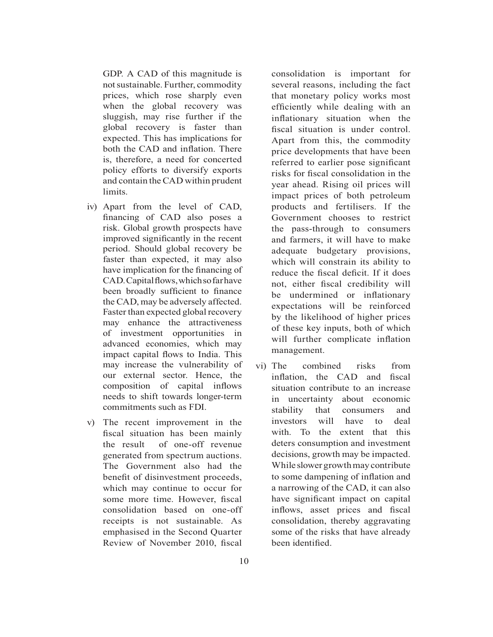GDP. A CAD of this magnitude is not sustainable. Further, commodity prices, which rose sharply even when the global recovery was sluggish, may rise further if the global recovery is faster than expected. This has implications for both the CAD and inflation. There is, therefore, a need for concerted policy efforts to diversify exports and contain the CAD within prudent limits.

- iv) Apart from the level of CAD, financing of CAD also poses a risk. Global growth prospects have improved significantly in the recent period. Should global recovery be faster than expected, it may also have implication for the financing of CAD. Capital flows, which so far have been broadly sufficient to finance the CAD, may be adversely affected. Faster than expected global recovery may enhance the attractiveness of investment opportunities in advanced economies, which may impact capital flows to India. This may increase the vulnerability of our external sector. Hence, the composition of capital inflows needs to shift towards longer-term commitments such as FDI.
- v) The recent improvement in the fiscal situation has been mainly the result of one-off revenue generated from spectrum auctions. The Government also had the benefit of disinvestment proceeds, which may continue to occur for some more time. However, fiscal consolidation based on one-off receipts is not sustainable. As emphasised in the Second Quarter Review of November 2010, fiscal

consolidation is important for several reasons, including the fact that monetary policy works most efficiently while dealing with an inflationary situation when the fiscal situation is under control. Apart from this, the commodity price developments that have been referred to earlier pose significant risks for fiscal consolidation in the year ahead. Rising oil prices will impact prices of both petroleum products and fertilisers. If the Government chooses to restrict the pass-through to consumers and farmers, it will have to make adequate budgetary provisions, which will constrain its ability to reduce the fiscal deficit. If it does not, either fiscal credibility will be undermined or inflationary expectations will be reinforced by the likelihood of higher prices of these key inputs, both of which will further complicate inflation management.

vi) The combined risks from inflation, the CAD and fiscal situation contribute to an increase in uncertainty about economic stability that consumers and investors will have to deal with. To the extent that this deters consumption and investment decisions, growth may be impacted. While slower growth may contribute to some dampening of inflation and a narrowing of the CAD, it can also have significant impact on capital inflows, asset prices and fiscal consolidation, thereby aggravating some of the risks that have already been identified.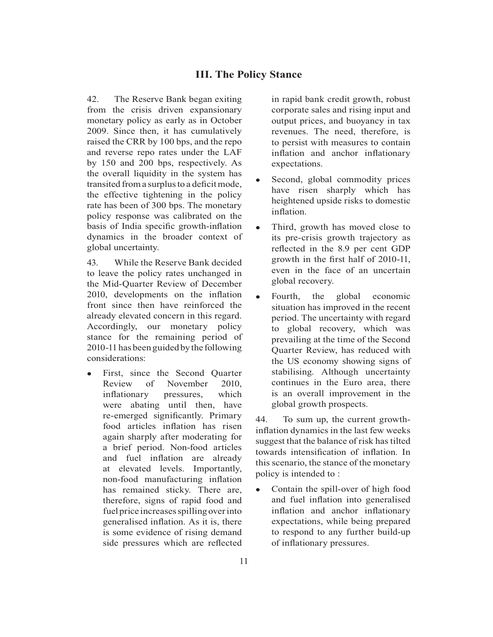# **III. The Policy Stance**

42. The Reserve Bank began exiting from the crisis driven expansionary monetary policy as early as in October 2009. Since then, it has cumulatively raised the CRR by 100 bps, and the repo and reverse repo rates under the LAF by 150 and 200 bps, respectively. As the overall liquidity in the system has transited from a surplus to a deficit mode, the effective tightening in the policy rate has been of 300 bps. The monetary policy response was calibrated on the basis of India specific growth-inflation dynamics in the broader context of global uncertainty.

43. While the Reserve Bank decided to leave the policy rates unchanged in the Mid-Quarter Review of December 2010, developments on the inflation front since then have reinforced the already elevated concern in this regard. Accordingly, our monetary policy stance for the remaining period of 2010-11 has been guided by the following considerations:

 $\bullet$  First, since the Second Quarter Review of November 2010, inflationary pressures, which were abating until then, have re-emerged significantly. Primary food articles inflation has risen again sharply after moderating for a brief period. Non-food articles and fuel inflation are already at elevated levels. Importantly, non-food manufacturing inflation has remained sticky. There are, therefore, signs of rapid food and fuel price increases spilling over into generalised inflation. As it is, there is some evidence of rising demand side pressures which are reflected

in rapid bank credit growth, robust corporate sales and rising input and output prices, and buoyancy in tax revenues. The need, therefore, is to persist with measures to contain inflation and anchor inflationary expectations.

- $\bullet$  Second, global commodity prices have risen sharply which has heightened upside risks to domestic inflation.
- $\bullet$  Third, growth has moved close to its pre-crisis growth trajectory as reflected in the 8.9 per cent GDP growth in the first half of 2010-11. even in the face of an uncertain global recovery.
- $\bullet$  Fourth, the global economic situation has improved in the recent period. The uncertainty with regard to global recovery, which was prevailing at the time of the Second Quarter Review, has reduced with the US economy showing signs of stabilising. Although uncertainty continues in the Euro area, there is an overall improvement in the global growth prospects.

44. To sum up, the current growthinflation dynamics in the last few weeks suggest that the balance of risk has tilted towards intensification of inflation. In this scenario, the stance of the monetary policy is intended to :

 $\bullet$  Contain the spill-over of high food and fuel inflation into generalised inflation and anchor inflationary expectations, while being prepared to respond to any further build-up of inflationary pressures.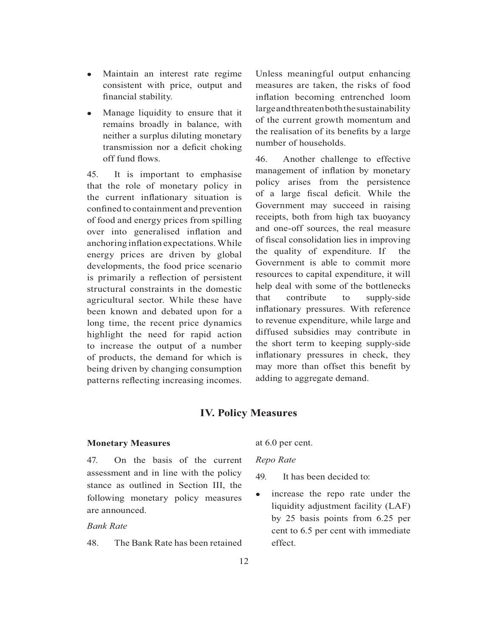- $\bullet$  Maintain an interest rate regime consistent with price, output and financial stability.
- Manage liquidity to ensure that it remains broadly in balance, with neither a surplus diluting monetary transmission nor a deficit choking off fund flows.

45. It is important to emphasise that the role of monetary policy in the current inflationary situation is confined to containment and prevention of food and energy prices from spilling over into generalised inflation and anchoring inflation expectations. While energy prices are driven by global developments, the food price scenario is primarily a reflection of persistent structural constraints in the domestic agricultural sector. While these have been known and debated upon for a long time, the recent price dynamics highlight the need for rapid action to increase the output of a number of products, the demand for which is being driven by changing consumption patterns reflecting increasing incomes.

Unless meaningful output enhancing measures are taken, the risks of food inflation becoming entrenched loom large and threaten both the sustainability of the current growth momentum and the realisation of its benefits by a large number of households.

46. Another challenge to effective management of inflation by monetary policy arises from the persistence of a large fiscal deficit. While the Government may succeed in raising receipts, both from high tax buoyancy and one-off sources, the real measure of fiscal consolidation lies in improving the quality of expenditure. If the Government is able to commit more resources to capital expenditure, it will help deal with some of the bottlenecks that contribute to supply-side inflationary pressures. With reference to revenue expenditure, while large and diffused subsidies may contribute in the short term to keeping supply-side inflationary pressures in check, they may more than offset this benefit by adding to aggregate demand.

# **IV. Policy Measures**

#### **Monetary Measures**

47. On the basis of the current assessment and in line with the policy stance as outlined in Section III, the following monetary policy measures are announced.

## *Bank Rate*

48. The Bank Rate has been retained

at 6.0 per cent.

*Repo Rate* 

49. It has been decided to:

 $\bullet$  increase the repo rate under the liquidity adjustment facility (LAF) by 25 basis points from 6.25 per cent to 6.5 per cent with immediate effect.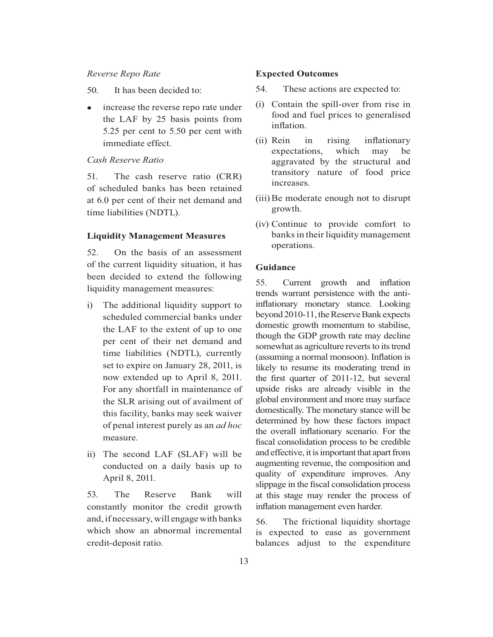#### *Reverse Repo Rate*

- 50. It has been decided to:
- $\bullet$  increase the reverse repo rate under the LAF by 25 basis points from 5.25 per cent to 5.50 per cent with immediate effect.

### *Cash Reserve Ratio*

51. The cash reserve ratio (CRR) of scheduled banks has been retained at 6.0 per cent of their net demand and time liabilities (NDTL).

#### **Liquidity Management Measures**

52. On the basis of an assessment of the current liquidity situation, it has been decided to extend the following liquidity management measures:

- i) The additional liquidity support to scheduled commercial banks under the LAF to the extent of up to one per cent of their net demand and time liabilities (NDTL), currently set to expire on January 28, 2011, is now extended up to April 8, 2011. For any shortfall in maintenance of the SLR arising out of availment of this facility, banks may seek waiver of penal interest purely as an *ad hoc*  measure.
- ii) The second LAF (SLAF) will be conducted on a daily basis up to April 8, 2011.

53. The Reserve Bank will constantly monitor the credit growth and, if necessary, will engage with banks which show an abnormal incremental credit-deposit ratio.

#### **Expected Outcomes**

- 54. These actions are expected to:
- (i) Contain the spill-over from rise in food and fuel prices to generalised inflation.
- (ii) Rein in rising inflationary expectations, which may be aggravated by the structural and transitory nature of food price increases.
- (iii) Be moderate enough not to disrupt growth.
- (iv) Continue to provide comfort to banks in their liquidity management operations.

#### **Guidance**

55. Current growth and inflation trends warrant persistence with the antiinflationary monetary stance. Looking beyond 2010-11, the Reserve Bank expects domestic growth momentum to stabilise, though the GDP growth rate may decline somewhat as agriculture reverts to its trend (assuming a normal monsoon). Inflation is likely to resume its moderating trend in the first quarter of 2011-12, but several upside risks are already visible in the global environment and more may surface domestically. The monetary stance will be determined by how these factors impact the overall inflationary scenario. For the fiscal consolidation process to be credible and effective, it is important that apart from augmenting revenue, the composition and quality of expenditure improves. Any slippage in the fiscal consolidation process at this stage may render the process of inflation management even harder.

56. The frictional liquidity shortage is expected to ease as government balances adjust to the expenditure